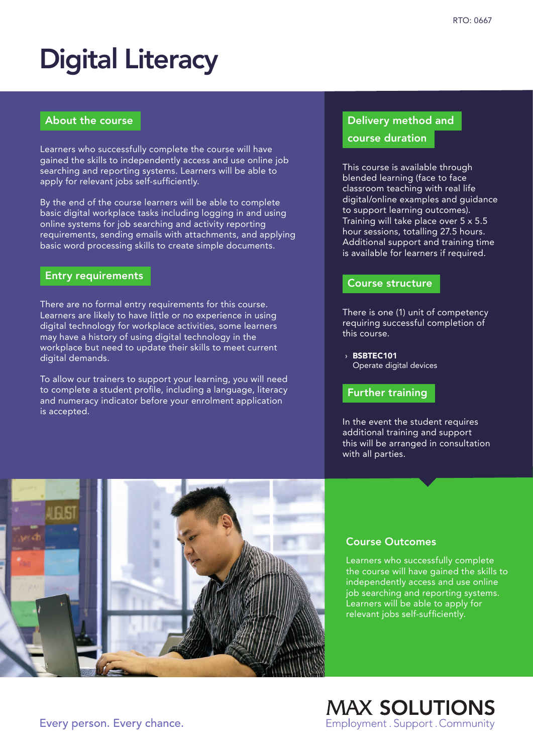# Digital Literacy

### About the course

Learners who successfully complete the course will have gained the skills to independently access and use online job searching and reporting systems. Learners will be able to apply for relevant jobs self-sufficiently.

By the end of the course learners will be able to complete basic digital workplace tasks including logging in and using online systems for job searching and activity reporting requirements, sending emails with attachments, and applying basic word processing skills to create simple documents.

## Entry requirements

There are no formal entry requirements for this course. Learners are likely to have little or no experience in using digital technology for workplace activities, some learners may have a history of using digital technology in the workplace but need to update their skills to meet current digital demands.

To allow our trainers to support your learning, you will need to complete a student profile, including a language, literacy and numeracy indicator before your enrolment application is accepted.

# Delivery method and

#### course duration

This course is available through blended learning (face to face classroom teaching with real life digital/online examples and guidance to support learning outcomes). Training will take place over 5 x 5.5 hour sessions, totalling 27.5 hours. Additional support and training time is available for learners if required.

#### Course structure

There is one (1) unit of competency requiring successful completion of this course.

› BSBTEC101 Operate digital devices

#### Further training

In the event the student requires additional training and support this will be arranged in consultation with all parties.



#### Course Outcomes

Learners who successfully complete the course will have gained the skills to independently access and use online job searching and reporting systems. Learners will be able to apply for relevant jobs self-sufficiently.